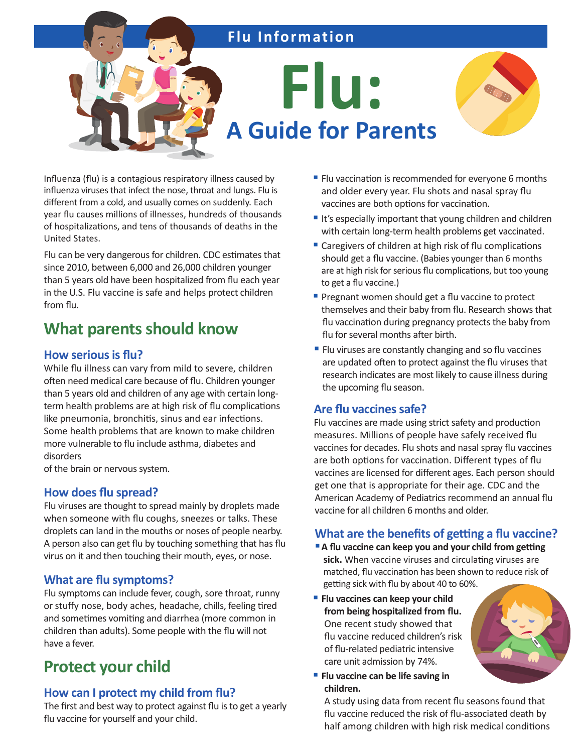# **Flu Information**

**Flu: A Guide for Parents**



Influenza (flu) is a contagious respiratory illness caused by influenza viruses that infect the nose, throat and lungs. Flu is different from a cold, and usually comes on suddenly. Each year flu causes millions of illnesses, hundreds of thousands of hospitalizations, and tens of thousands of deaths in the United States.

Flu can be very dangerous for children. CDC estimates that since 2010, between 6,000 and 26,000 children younger than 5 years old have been hospitalized from flu each year in the U.S. Flu vaccine is safe and helps protect children from flu.

# **What parents should know**

#### **How serious is flu?**

While flu illness can vary from mild to severe, children often need medical care because of flu. Children younger than 5 years old and children of any age with certain longterm health problems are at high risk of flu complications like pneumonia, bronchitis, sinus and ear infections. Some health problems that are known to make children more vulnerable to flu include asthma, diabetes and disorders

of the brain or nervous system.

#### **How does flu spread?**

Flu viruses are thought to spread mainly by droplets made when someone with flu coughs, sneezes or talks. These droplets can land in the mouths or noses of people nearby. A person also can get flu by touching something that has flu virus on it and then touching their mouth, eyes, or nose.

#### **What are flu symptoms?**

Flu symptoms can include fever, cough, sore throat, runny or stuffy nose, body aches, headache, chills, feeling tired and sometimes vomiting and diarrhea (more common in children than adults). Some people with the flu will not have a fever.

# **Protect your child**

#### **How can I protect my child from flu?**

The first and best way to protect against flu is to get a yearly flu vaccine for yourself and your child.

- Flu vaccination is recommended for everyone 6 months and older every year. Flu shots and nasal spray flu vaccines are both options for vaccination.
- It's especially important that young children and children with certain long-term health problems get vaccinated.
- Caregivers of children at high risk of flu complications should get a flu vaccine. (Babies younger than 6 months are at high risk for serious flu complications, but too young to get a flu vaccine.)
- Pregnant women should get a flu vaccine to protect themselves and their baby from flu. Research shows that flu vaccination during pregnancy protects the baby from flu for several months after birth.
- Flu viruses are constantly changing and so flu vaccines are updated often to protect against the flu viruses that research indicates are most likely to cause illness during the upcoming flu season.

#### **Are flu vaccines safe?**

Flu vaccines are made using strict safety and production measures. Millions of people have safely received flu vaccines for decades. Flu shots and nasal spray flu vaccines are both options for vaccination. Different types of flu vaccines are licensed for different ages. Each person should get one that is appropriate for their age. CDC and the American Academy of Pediatrics recommend an annual flu vaccine for all children 6 months and older.

#### **What are the benefits of getting a flu vaccine?**

- A flu vaccine can keep you and your child from getting **sick.** When vaccine viruses and circulating viruses are matched, flu vaccination has been shown to reduce risk of getting sick with flu by about 40 to 60%.
- **Filu vaccines can keep your child from being hospitalized from flu.** One recent study showed that flu vaccine reduced children's risk of flu-related pediatric intensive care unit admission by 74%.



**Filu vaccine can be life saving in children.**

A study using data from recent flu seasons found that flu vaccine reduced the risk of flu-associated death by half among children with high risk medical conditions